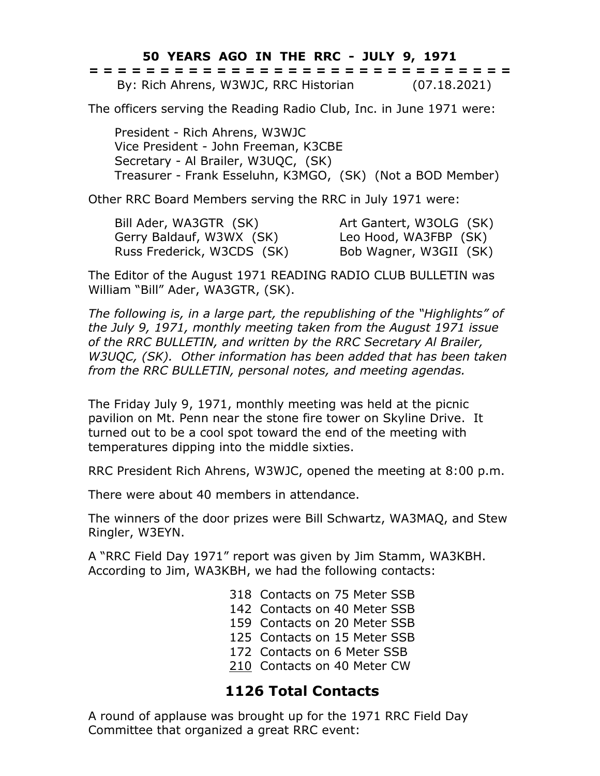**50 YEARS AGO IN THE RRC - JULY 9, 1971**

|  | ------------------------------<br>------------------------------ |  |  |  |  |  |  |  |  |  |  |  |  |              |  |
|--|------------------------------------------------------------------|--|--|--|--|--|--|--|--|--|--|--|--|--------------|--|
|  | By: Rich Ahrens, W3WJC, RRC Historian                            |  |  |  |  |  |  |  |  |  |  |  |  | (07.18.2021) |  |

The officers serving the Reading Radio Club, Inc. in June 1971 were:

President - Rich Ahrens, W3WJC Vice President - John Freeman, K3CBE Secretary - Al Brailer, W3UQC, (SK) Treasurer - Frank Esseluhn, K3MGO, (SK) (Not a BOD Member)

Other RRC Board Members serving the RRC in July 1971 were:

Bill Ader, WA3GTR (SK) Art Gantert, W3OLG (SK) Gerry Baldauf, W3WX (SK) Leo Hood, WA3FBP (SK) Russ Frederick, W3CDS (SK) Bob Wagner, W3GII (SK)

The Editor of the August 1971 READING RADIO CLUB BULLETIN was William "Bill" Ader, WA3GTR, (SK).

*The following is, in a large part, the republishing of the "Highlights" of the July 9, 1971, monthly meeting taken from the August 1971 issue of the RRC BULLETIN, and written by the RRC Secretary Al Brailer, W3UQC, (SK). Other information has been added that has been taken from the RRC BULLETIN, personal notes, and meeting agendas.*

The Friday July 9, 1971, monthly meeting was held at the picnic pavilion on Mt. Penn near the stone fire tower on Skyline Drive. It turned out to be a cool spot toward the end of the meeting with temperatures dipping into the middle sixties.

RRC President Rich Ahrens, W3WJC, opened the meeting at 8:00 p.m.

There were about 40 members in attendance.

The winners of the door prizes were Bill Schwartz, WA3MAQ, and Stew Ringler, W3EYN.

A "RRC Field Day 1971" report was given by Jim Stamm, WA3KBH. According to Jim, WA3KBH, we had the following contacts:

- 318 Contacts on 75 Meter SSB
- 142 Contacts on 40 Meter SSB
- 159 Contacts on 20 Meter SSB
- 125 Contacts on 15 Meter SSB
- 172 Contacts on 6 Meter SSB
- 210 Contacts on 40 Meter CW

## **1126 Total Contacts**

A round of applause was brought up for the 1971 RRC Field Day Committee that organized a great RRC event: